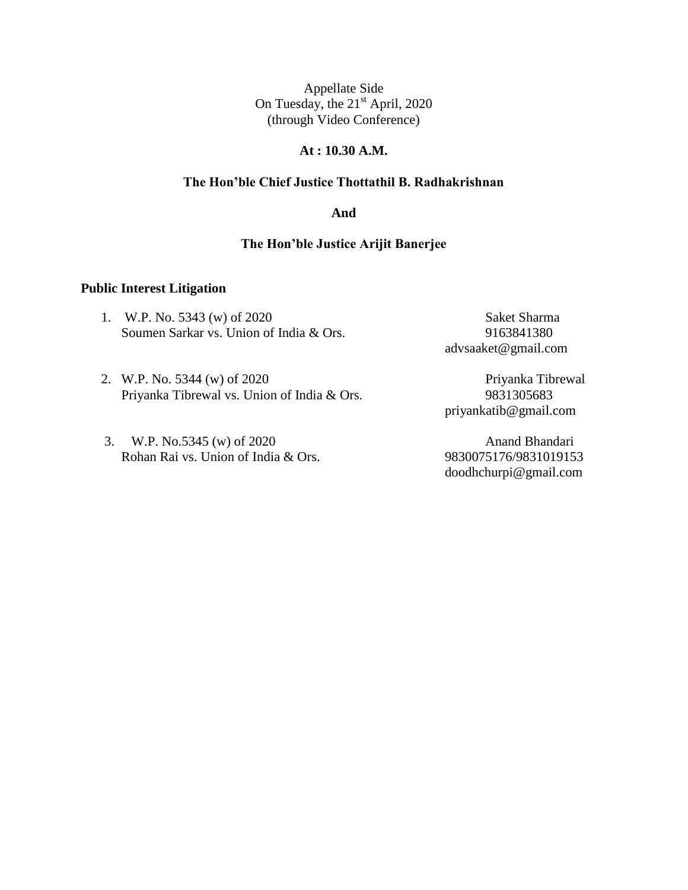### **At : 10.30 A.M.**

# **The Hon'ble Chief Justice Thottathil B. Radhakrishnan**

**And**

# **The Hon'ble Justice Arijit Banerjee**

#### **Public Interest Litigation**

1. W.P. No. 5343 (w) of 2020 Saket Sharma Soumen Sarkar vs. Union of India & Ors. 9163841380

advsaaket@gmail.com

- 2. W.P. No. 5344 (w) of 2020<br>Priyanka Tibrewal vs. Union of India & Ors. 9831305683 Priyanka Tibrewal vs. Union of India & Ors.
- 3. W.P. No.5345 (w) of 2020 Anand Bhandari Rohan Rai vs. Union of India & Ors. 9830075176/9831019153

priyankatib@gmail.com

doodhchurpi@gmail.com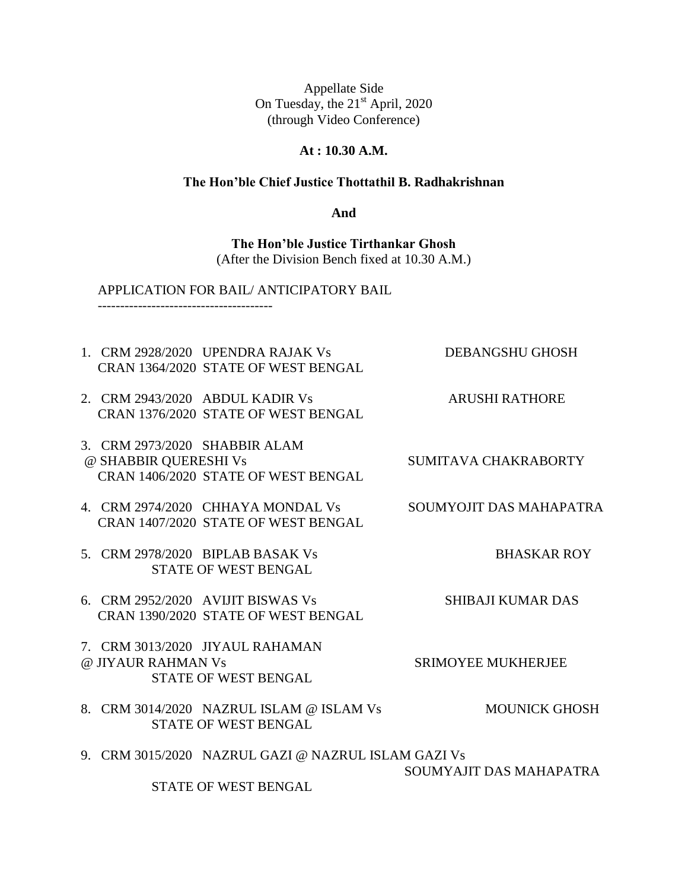### **At : 10.30 A.M.**

#### **The Hon'ble Chief Justice Thottathil B. Radhakrishnan**

**And**

**The Hon'ble Justice Tirthankar Ghosh** (After the Division Bench fixed at 10.30 A.M.)

#### APPLICATION FOR BAIL/ ANTICIPATORY BAIL

---------------------------------------

- 1. CRM 2928/2020 UPENDRA RAJAK Vs DEBANGSHU GHOSH CRAN 1364/2020 STATE OF WEST BENGAL
- 2. CRM 2943/2020 ABDUL KADIR Vs ARUSHI RATHORE CRAN 1376/2020 STATE OF WEST BENGAL
- 3. CRM 2973/2020 SHABBIR ALAM @ SHABBIR QUERESHI Vs SUMITAVA CHAKRABORTY CRAN 1406/2020 STATE OF WEST BENGAL
- 4. CRM 2974/2020 CHHAYA MONDAL Vs SOUMYOJIT DAS MAHAPATRA CRAN 1407/2020 STATE OF WEST BENGAL
- 5. CRM 2978/2020 BIPLAB BASAK Vs BHASKAR ROY STATE OF WEST BENGAL
- 6. CRM 2952/2020 AVIJIT BISWAS Vs SHIBAJI KUMAR DAS CRAN 1390/2020 STATE OF WEST BENGAL
- 7. CRM 3013/2020 JIYAUL RAHAMAN @ JIYAUR RAHMAN Vs SRIMOYEE MUKHERJEE STATE OF WEST BENGAL
- 8. CRM 3014/2020 NAZRUL ISLAM @ ISLAM Vs MOUNICK GHOSH STATE OF WEST BENGAL
- 9. CRM 3015/2020 NAZRUL GAZI @ NAZRUL ISLAM GAZI Vs SOUMYAJIT DAS MAHAPATRA STATE OF WEST BENGAL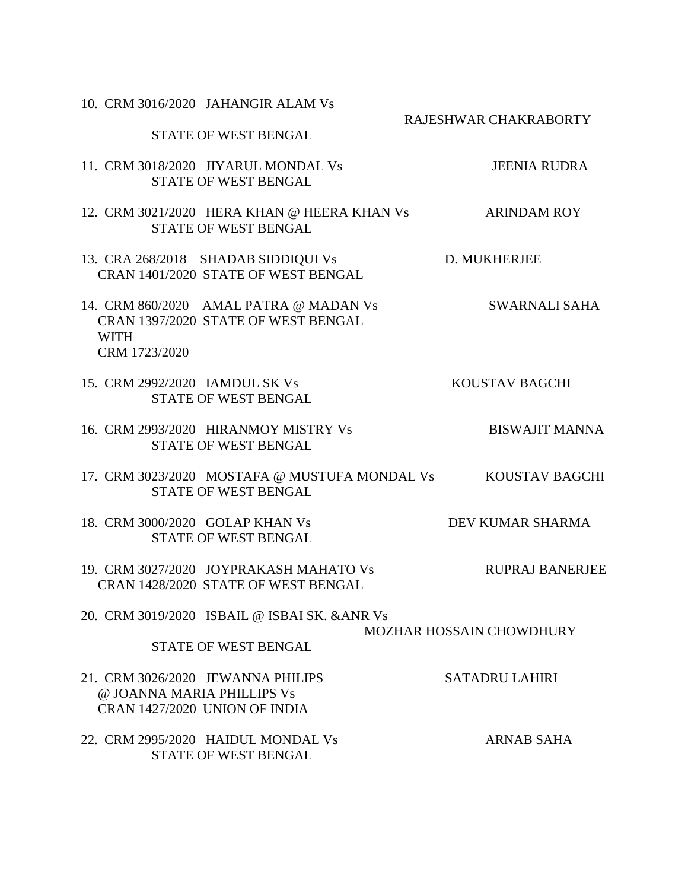10. CRM 3016/2020 JAHANGIR ALAM Vs

STATE OF WEST BENGAL

RAJESHWAR CHAKRABORTY

11. CRM 3018/2020 JIYARUL MONDAL Vs JEENIA RUDRA STATE OF WEST BENGAL

12. CRM 3021/2020 HERA KHAN @ HEERA KHAN Vs ARINDAM ROY STATE OF WEST BENGAL

13. CRA 268/2018 SHADAB SIDDIQUI Vs D. MUKHERJEE CRAN 1401/2020 STATE OF WEST BENGAL

14. CRM 860/2020 AMAL PATRA @ MADAN Vs SWARNALI SAHA CRAN 1397/2020 STATE OF WEST BENGAL WITH CRM 1723/2020

15. CRM 2992/2020 IAMDUL SK Vs KOUSTAV BAGCHI STATE OF WEST BENGAL

16. CRM 2993/2020 HIRANMOY MISTRY Vs BISWAJIT MANNA STATE OF WEST BENGAL

17. CRM 3023/2020 MOSTAFA @ MUSTUFA MONDAL Vs KOUSTAV BAGCHI STATE OF WEST BENGAL

18. CRM 3000/2020 GOLAP KHAN Vs DEV KUMAR SHARMA STATE OF WEST BENGAL

19. CRM 3027/2020 JOYPRAKASH MAHATO Vs RUPRAJ BANERJEE CRAN 1428/2020 STATE OF WEST BENGAL

20. CRM 3019/2020 ISBAIL @ ISBAI SK. &ANR Vs

MOZHAR HOSSAIN CHOWDHURY

21. CRM 3026/2020 JEWANNA PHILIPS SATADRU LAHIRI @ JOANNA MARIA PHILLIPS Vs CRAN 1427/2020 UNION OF INDIA 22. CRM 2995/2020 HAIDUL MONDAL Vs ARNAB SAHA

STATE OF WEST BENGAL

STATE OF WEST BENGAL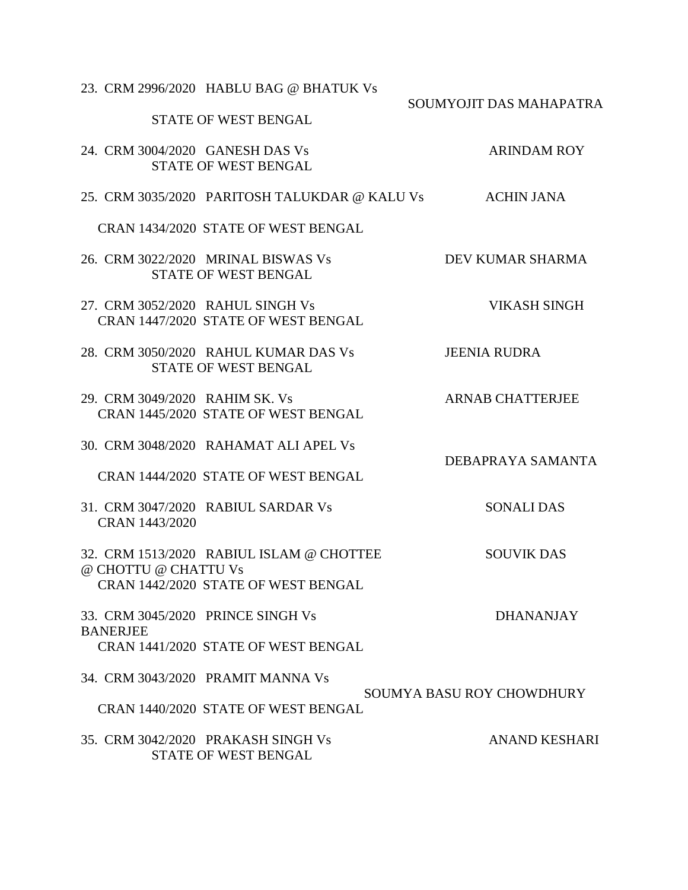|                                | 23. CRM 2996/2020 HABLU BAG @ BHATUK Vs         |                           |
|--------------------------------|-------------------------------------------------|---------------------------|
|                                | <b>STATE OF WEST BENGAL</b>                     | SOUMYOJIT DAS MAHAPATRA   |
|                                | 24. CRM 3004/2020 GANESH DAS Vs                 | <b>ARINDAM ROY</b>        |
|                                | <b>STATE OF WEST BENGAL</b>                     |                           |
|                                | 25. CRM 3035/2020   PARITOSH TALUKDAR @ KALU Vs | <b>ACHIN JANA</b>         |
|                                | CRAN 1434/2020 STATE OF WEST BENGAL             |                           |
|                                | 26. CRM 3022/2020 MRINAL BISWAS Vs              | DEV KUMAR SHARMA          |
|                                | STATE OF WEST BENGAL                            |                           |
|                                | 27. CRM 3052/2020 RAHUL SINGH Vs                | VIKASH SINGH              |
|                                | CRAN 1447/2020 STATE OF WEST BENGAL             |                           |
|                                | 28. CRM 3050/2020 RAHUL KUMAR DAS Vs            | <b>JEENIA RUDRA</b>       |
|                                | <b>STATE OF WEST BENGAL</b>                     |                           |
| 29. CRM 3049/2020 RAHIM SK. Vs |                                                 | <b>ARNAB CHATTERJEE</b>   |
|                                | CRAN 1445/2020 STATE OF WEST BENGAL             |                           |
|                                | 30. CRM 3048/2020 RAHAMAT ALI APEL Vs           | DEBAPRAYA SAMANTA         |
|                                | CRAN 1444/2020 STATE OF WEST BENGAL             |                           |
|                                | 31. CRM 3047/2020 RABIUL SARDAR Vs              | <b>SONALI DAS</b>         |
| CRAN 1443/2020                 |                                                 |                           |
|                                | 32. CRM 1513/2020 RABIUL ISLAM @ CHOTTEE        | <b>SOUVIK DAS</b>         |
| @ CHOTTU @ CHATTU Vs           |                                                 |                           |
|                                | CRAN 1442/2020 STATE OF WEST BENGAL             |                           |
|                                | 33. CRM 3045/2020 PRINCE SINGH Vs               | <b>DHANANJAY</b>          |
| <b>BANERJEE</b>                |                                                 |                           |
|                                | CRAN 1441/2020 STATE OF WEST BENGAL             |                           |
|                                | 34. CRM 3043/2020 PRAMIT MANNA Vs               |                           |
|                                | CRAN 1440/2020 STATE OF WEST BENGAL             | SOUMYA BASU ROY CHOWDHURY |
|                                | 35. CRM 3042/2020 PRAKASH SINGH Vs              | <b>ANAND KESHARI</b>      |
|                                | STATE OF WEST BENGAL                            |                           |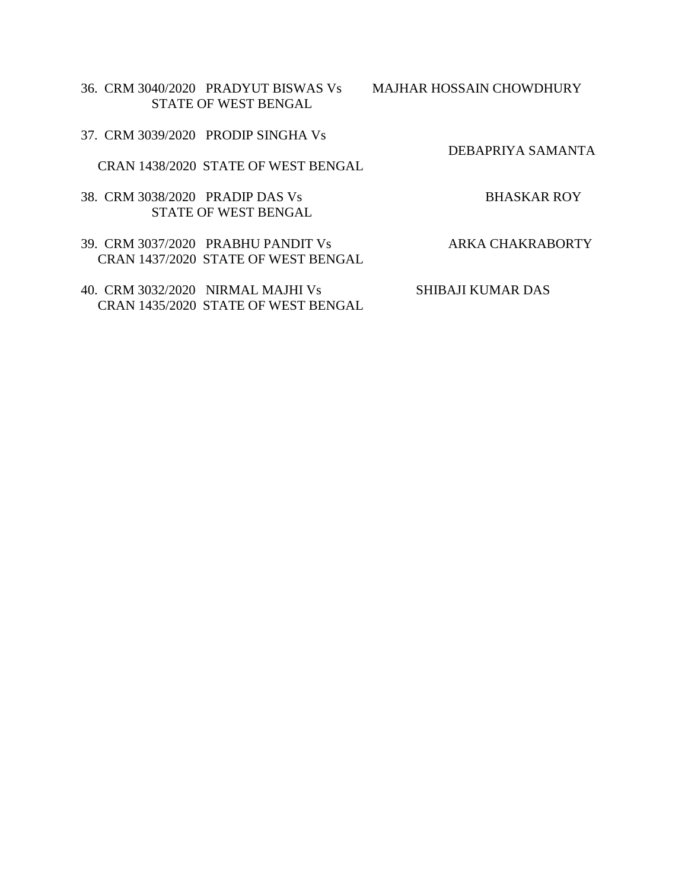36. CRM 3040/2020 PRADYUT BISWAS Vs MAJHAR HOSSAIN CHOWDHURY STATE OF WEST BENGAL

37. CRM 3039/2020 PRODIP SINGHA Vs

CRAN 1438/2020 STATE OF WEST BENGAL

38. CRM 3038/2020 PRADIP DAS Vs BHASKAR ROY STATE OF WEST BENGAL

39. CRM 3037/2020 PRABHU PANDIT Vs ARKA CHAKRABORTY CRAN 1437/2020 STATE OF WEST BENGAL

40. CRM 3032/2020 NIRMAL MAJHI Vs SHIBAJI KUMAR DAS CRAN 1435/2020 STATE OF WEST BENGAL

DEBAPRIYA SAMANTA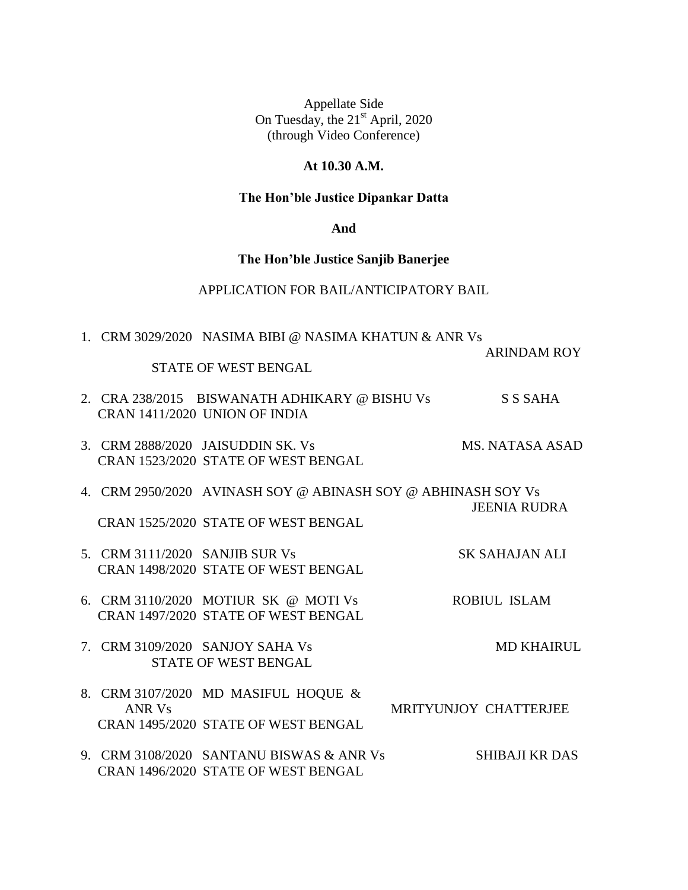# **At 10.30 A.M.**

# **The Hon'ble Justice Dipankar Datta**

### **And**

### **The Hon'ble Justice Sanjib Banerjee**

# APPLICATION FOR BAIL/ANTICIPATORY BAIL

|                                | 1. CRM 3029/2020 NASIMA BIBI @ NASIMA KHATUN & ANR Vs        |                       |
|--------------------------------|--------------------------------------------------------------|-----------------------|
|                                |                                                              | <b>ARINDAM ROY</b>    |
|                                | <b>STATE OF WEST BENGAL</b>                                  |                       |
|                                | 2. CRA 238/2015 BISWANATH ADHIKARY @ BISHU Vs                | <b>S S SAHA</b>       |
|                                | CRAN 1411/2020 UNION OF INDIA                                |                       |
|                                | 3. CRM 2888/2020 JAISUDDIN SK. Vs                            | MS. NATASA ASAD       |
|                                | CRAN 1523/2020 STATE OF WEST BENGAL                          |                       |
|                                | 4. CRM 2950/2020 AVINASH SOY @ ABINASH SOY @ ABHINASH SOY Vs |                       |
|                                |                                                              | <b>JEENIA RUDRA</b>   |
|                                | CRAN 1525/2020 STATE OF WEST BENGAL                          |                       |
| 5. CRM 3111/2020 SANJIB SUR Vs |                                                              | <b>SK SAHAJAN ALI</b> |
|                                | CRAN 1498/2020 STATE OF WEST BENGAL                          |                       |
|                                | 6. CRM 3110/2020 MOTIUR SK @ MOTI Vs                         | <b>ROBIUL ISLAM</b>   |
|                                | CRAN 1497/2020 STATE OF WEST BENGAL                          |                       |
|                                | 7. CRM 3109/2020 SANJOY SAHA Vs                              | <b>MD KHAIRUL</b>     |
|                                | <b>STATE OF WEST BENGAL</b>                                  |                       |
|                                | 8. CRM 3107/2020 MD MASIFUL HOQUE &                          |                       |
| ANR Vs                         |                                                              | MRITYUNJOY CHATTERJEE |
|                                | CRAN 1495/2020 STATE OF WEST BENGAL                          |                       |
|                                | 9. CRM 3108/2020 SANTANU BISWAS & ANR Vs                     | <b>SHIBAJI KR DAS</b> |
|                                | CRAN 1496/2020 STATE OF WEST BENGAL                          |                       |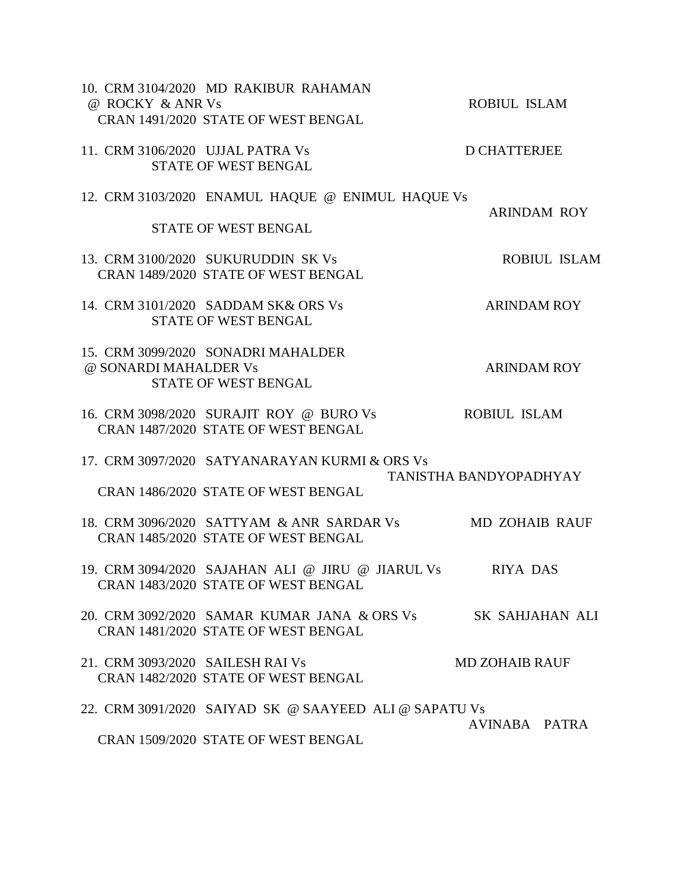| @ ROCKY & ANR Vs                 | 10. CRM 3104/2020 MD RAKIBUR RAHAMAN<br>CRAN 1491/2020 STATE OF WEST BENGAL                        | ROBIUL ISLAM           |
|----------------------------------|----------------------------------------------------------------------------------------------------|------------------------|
| 11. CRM 3106/2020 UJJAL PATRA Vs | <b>STATE OF WEST BENGAL</b>                                                                        | <b>D CHATTERJEE</b>    |
|                                  | 12. CRM 3103/2020 ENAMUL HAQUE @ ENIMUL HAQUE Vs<br>STATE OF WEST BENGAL                           | <b>ARINDAM ROY</b>     |
|                                  | 13. CRM 3100/2020 SUKURUDDIN SK Vs<br>CRAN 1489/2020 STATE OF WEST BENGAL                          | ROBIUL ISLAM           |
|                                  | 14. CRM 3101/2020 SADDAM SK& ORS Vs<br><b>STATE OF WEST BENGAL</b>                                 | <b>ARINDAM ROY</b>     |
| @ SONARDI MAHALDER Vs            | 15. CRM 3099/2020 SONADRI MAHALDER<br>STATE OF WEST BENGAL                                         | <b>ARINDAM ROY</b>     |
|                                  | 16. CRM 3098/2020 SURAJIT ROY @ BURO Vs<br>CRAN 1487/2020 STATE OF WEST BENGAL                     | <b>ROBIUL ISLAM</b>    |
|                                  | 17. CRM 3097/2020 SATYANARAYAN KURMI & ORS Vs<br>CRAN 1486/2020 STATE OF WEST BENGAL               | TANISTHA BANDYOPADHYAY |
|                                  | 18. CRM 3096/2020 SATTYAM & ANR SARDAR Vs<br>CRAN 1485/2020 STATE OF WEST BENGAL                   | <b>MD ZOHAIB RAUF</b>  |
|                                  | 19. CRM 3094/2020 SAJAHAN ALI @ JIRU @ JIARUL Vs RIYA DAS<br>CRAN 1483/2020 STATE OF WEST BENGAL   |                        |
|                                  | 20. CRM 3092/2020 SAMAR KUMAR JANA & ORS Vs SK SAHJAHAN ALI<br>CRAN 1481/2020 STATE OF WEST BENGAL |                        |
| 21. CRM 3093/2020 SAILESH RAI Vs | CRAN 1482/2020 STATE OF WEST BENGAL                                                                | <b>MD ZOHAIB RAUF</b>  |
|                                  | 22. CRM 3091/2020 SAIYAD SK @ SAAYEED ALI @ SAPATU Vs<br>CRAN 1509/2020 STATE OF WEST BENGAL       | AVINABA PATRA          |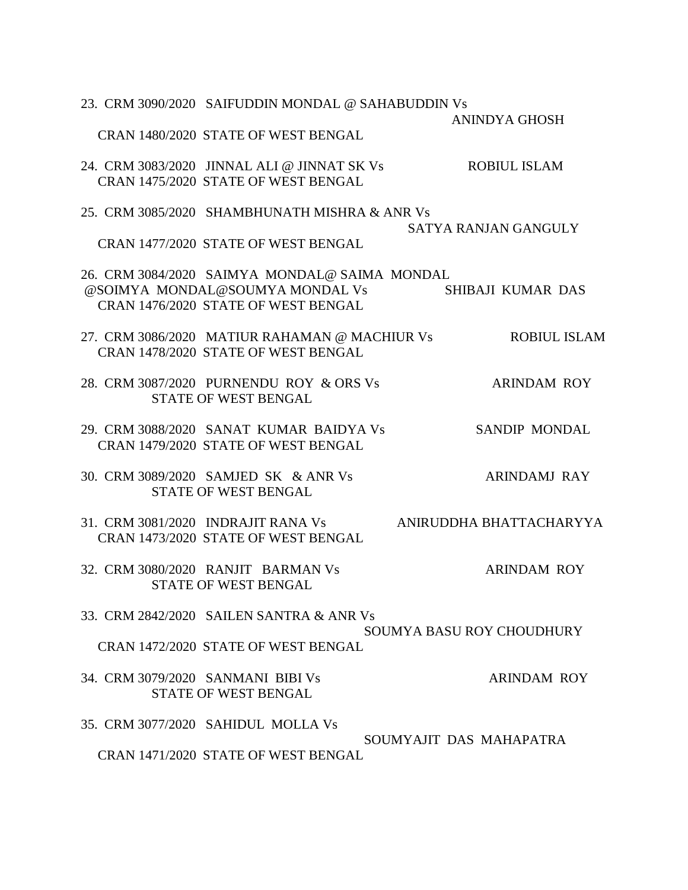|  | 23. CRM 3090/2020 SAIFUDDIN MONDAL @ SAHABUDDIN Vs |                             |
|--|----------------------------------------------------|-----------------------------|
|  |                                                    | <b>ANINDYA GHOSH</b>        |
|  | CRAN 1480/2020 STATE OF WEST BENGAL                |                             |
|  | 24. CRM 3083/2020 JINNAL ALI @ JINNAT SK Vs        | <b>ROBIUL ISLAM</b>         |
|  | CRAN 1475/2020 STATE OF WEST BENGAL                |                             |
|  | 25. CRM 3085/2020 SHAMBHUNATH MISHRA & ANR Vs      |                             |
|  |                                                    | <b>SATYA RANJAN GANGULY</b> |
|  | CRAN 1477/2020 STATE OF WEST BENGAL                |                             |
|  | 26. CRM 3084/2020 SAIMYA MONDAL@ SAIMA MONDAL      |                             |
|  | @SOIMYA MONDAL@SOUMYA MONDAL Vs                    | SHIBAJI KUMAR DAS           |
|  | CRAN 1476/2020 STATE OF WEST BENGAL                |                             |
|  | 27. CRM 3086/2020 MATIUR RAHAMAN @ MACHIUR Vs      | <b>ROBIUL ISLAM</b>         |
|  | CRAN 1478/2020 STATE OF WEST BENGAL                |                             |
|  |                                                    |                             |
|  | 28. CRM 3087/2020 PURNENDU ROY & ORS Vs            | <b>ARINDAM ROY</b>          |
|  | <b>STATE OF WEST BENGAL</b>                        |                             |
|  | 29. CRM 3088/2020 SANAT KUMAR BAIDYA Vs            | <b>SANDIP MONDAL</b>        |
|  | CRAN 1479/2020 STATE OF WEST BENGAL                |                             |
|  | 30. CRM 3089/2020 SAMJED SK & ANR Vs               | <b>ARINDAMJ RAY</b>         |
|  | <b>STATE OF WEST BENGAL</b>                        |                             |
|  |                                                    |                             |
|  | 31. CRM 3081/2020 INDRAJIT RANA Vs                 | ANIRUDDHA BHATTACHARYYA     |
|  | CRAN 1473/2020 STATE OF WEST BENGAL                |                             |
|  | 32. CRM 3080/2020 RANJIT BARMAN Vs                 | <b>ARINDAM ROY</b>          |
|  | <b>STATE OF WEST BENGAL</b>                        |                             |
|  | 33. CRM 2842/2020 SAILEN SANTRA & ANR Vs           |                             |
|  |                                                    | SOUMYA BASU ROY CHOUDHURY   |
|  | CRAN 1472/2020 STATE OF WEST BENGAL                |                             |
|  | 34. CRM 3079/2020 SANMANI BIBI Vs                  | <b>ARINDAM ROY</b>          |
|  | <b>STATE OF WEST BENGAL</b>                        |                             |
|  |                                                    |                             |
|  | 35. CRM 3077/2020 SAHIDUL MOLLA Vs                 |                             |
|  |                                                    | SOUMYAJIT DAS MAHAPATRA     |
|  | CRAN 1471/2020 STATE OF WEST BENGAL                |                             |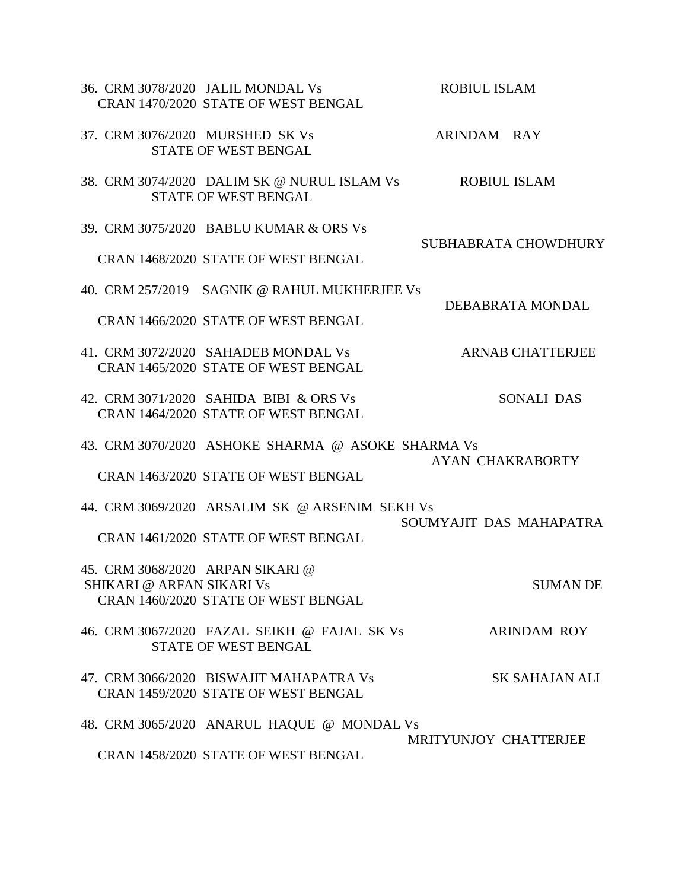|                                                                      | 36. CRM 3078/2020 JALIL MONDAL Vs<br>CRAN 1470/2020 STATE OF WEST BENGAL                 | ROBIUL ISLAM            |
|----------------------------------------------------------------------|------------------------------------------------------------------------------------------|-------------------------|
|                                                                      | 37. CRM 3076/2020 MURSHED SK Vs<br><b>STATE OF WEST BENGAL</b>                           | ARINDAM RAY             |
|                                                                      | 38. CRM 3074/2020 DALIM SK @ NURUL ISLAM Vs<br><b>STATE OF WEST BENGAL</b>               | <b>ROBIUL ISLAM</b>     |
|                                                                      | 39. CRM 3075/2020 BABLU KUMAR & ORS Vs                                                   | SUBHABRATA CHOWDHURY    |
|                                                                      | CRAN 1468/2020 STATE OF WEST BENGAL                                                      |                         |
|                                                                      | 40. CRM 257/2019 SAGNIK @ RAHUL MUKHERJEE Vs                                             | DEBABRATA MONDAL        |
|                                                                      | CRAN 1466/2020 STATE OF WEST BENGAL                                                      |                         |
|                                                                      | 41. CRM 3072/2020 SAHADEB MONDAL Vs<br>CRAN 1465/2020 STATE OF WEST BENGAL               | <b>ARNAB CHATTERJEE</b> |
|                                                                      | 42. CRM 3071/2020 SAHIDA BIBI & ORS Vs<br>CRAN 1464/2020 STATE OF WEST BENGAL            | SONALI DAS              |
|                                                                      | 43. CRM 3070/2020 ASHOKE SHARMA @ ASOKE SHARMA Vs<br>CRAN 1463/2020 STATE OF WEST BENGAL | AYAN CHAKRABORTY        |
|                                                                      | 44. CRM 3069/2020 ARSALIM SK @ ARSENIM SEKH Vs                                           |                         |
|                                                                      | CRAN 1461/2020 STATE OF WEST BENGAL                                                      | SOUMYAJIT DAS MAHAPATRA |
| 45. CRM 3068/2020 ARPAN SIKARI @<br><b>SHIKARI @ ARFAN SIKARI Vs</b> | CRAN 1460/2020 STATE OF WEST BENGAL                                                      | <b>SUMAN DE</b>         |
|                                                                      | 46. CRM 3067/2020 FAZAL SEIKH @ FAJAL SK Vs<br><b>STATE OF WEST BENGAL</b>               | <b>ARINDAM ROY</b>      |
|                                                                      | 47. CRM 3066/2020 BISWAJIT MAHAPATRA Vs<br>CRAN 1459/2020 STATE OF WEST BENGAL           | SK SAHAJAN ALI          |
|                                                                      | 48. CRM 3065/2020 ANARUL HAQUE @ MONDAL Vs                                               |                         |
|                                                                      | CRAN 1458/2020 STATE OF WEST BENGAL                                                      | MRITYUNJOY CHATTERJEE   |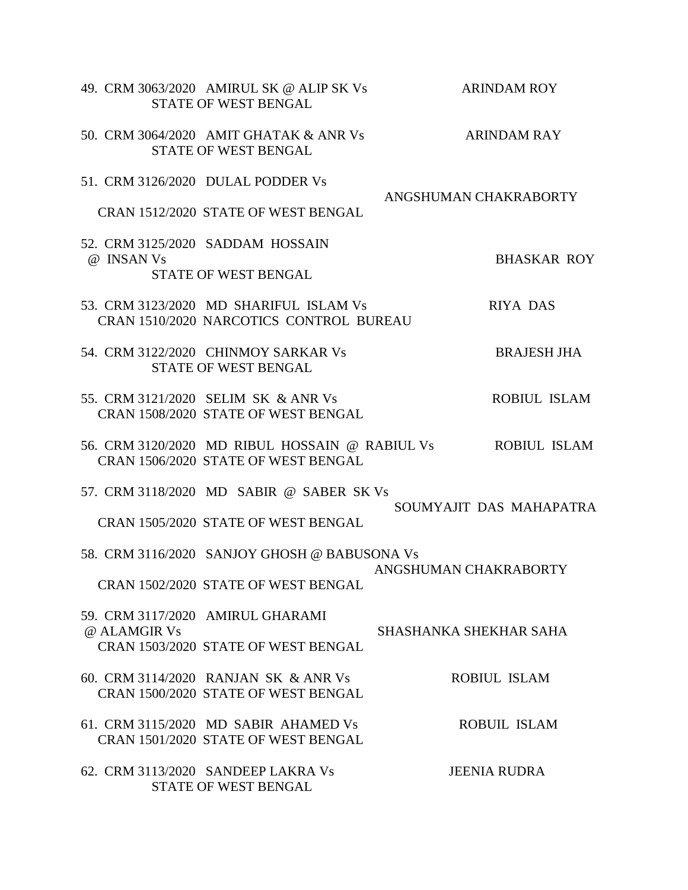|              | 49. CRM 3063/2020 AMIRUL SK @ ALIP SK Vs<br><b>STATE OF WEST BENGAL</b>                  | <b>ARINDAM ROY</b>      |
|--------------|------------------------------------------------------------------------------------------|-------------------------|
|              | 50. CRM 3064/2020 AMIT GHATAK & ANR Vs<br><b>STATE OF WEST BENGAL</b>                    | <b>ARINDAM RAY</b>      |
|              | 51. CRM 3126/2020 DULAL PODDER Vs                                                        |                         |
|              | CRAN 1512/2020 STATE OF WEST BENGAL                                                      | ANGSHUMAN CHAKRABORTY   |
| @ INSAN Vs   | 52. CRM 3125/2020 SADDAM HOSSAIN                                                         | <b>BHASKAR ROY</b>      |
|              | <b>STATE OF WEST BENGAL</b>                                                              |                         |
|              | 53. CRM 3123/2020 MD SHARIFUL ISLAM Vs<br><b>CRAN 1510/2020 NARCOTICS CONTROL BUREAU</b> | RIYA DAS                |
|              | 54. CRM 3122/2020 CHINMOY SARKAR Vs<br><b>STATE OF WEST BENGAL</b>                       | <b>BRAJESH JHA</b>      |
|              | 55. CRM 3121/2020 SELIM SK & ANR Vs<br>CRAN 1508/2020 STATE OF WEST BENGAL               | ROBIUL ISLAM            |
|              | 56. CRM 3120/2020 MD RIBUL HOSSAIN @ RABIUL Vs<br>CRAN 1506/2020 STATE OF WEST BENGAL    | <b>ROBIUL ISLAM</b>     |
|              | 57. CRM 3118/2020 MD SABIR @ SABER SK Vs                                                 |                         |
|              | CRAN 1505/2020 STATE OF WEST BENGAL                                                      | SOUMYAJIT DAS MAHAPATRA |
|              | 58. CRM 3116/2020 SANJOY GHOSH @ BABUSONA Vs                                             | ANGSHUMAN CHAKRABORTY   |
|              | CRAN 1502/2020 STATE OF WEST BENGAL                                                      |                         |
| @ ALAMGIR Vs | 59. CRM 3117/2020 AMIRUL GHARAMI                                                         | SHASHANKA SHEKHAR SAHA  |
|              | CRAN 1503/2020 STATE OF WEST BENGAL                                                      |                         |
|              | 60. CRM 3114/2020 RANJAN SK & ANR Vs<br>CRAN 1500/2020 STATE OF WEST BENGAL              | <b>ROBIUL ISLAM</b>     |
|              | 61. CRM 3115/2020 MD SABIR AHAMED Vs<br>CRAN 1501/2020 STATE OF WEST BENGAL              | ROBUIL ISLAM            |
|              | 62. CRM 3113/2020 SANDEEP LAKRA Vs<br>STATE OF WEST BENGAL                               | <b>JEENIA RUDRA</b>     |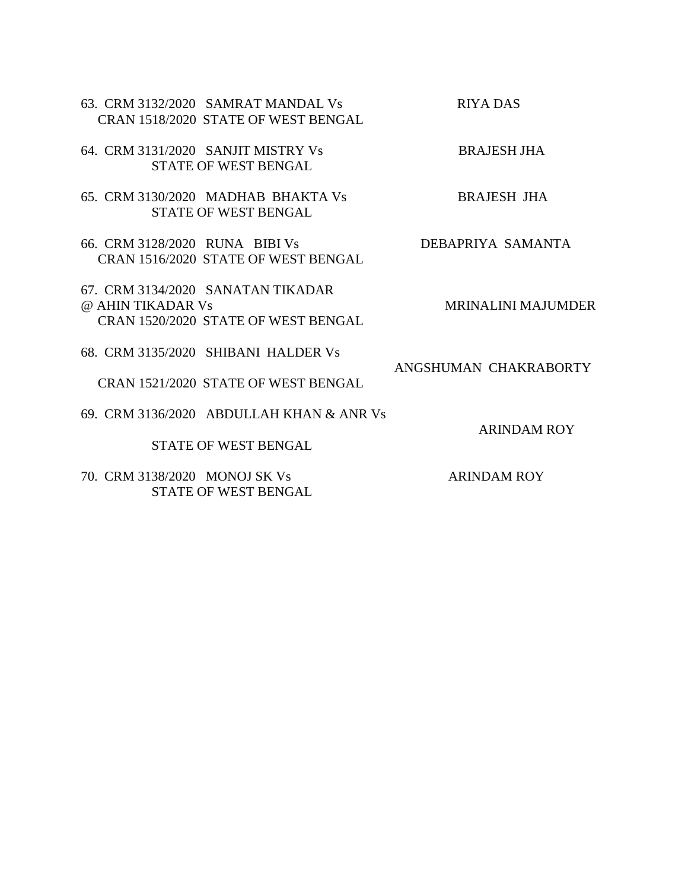| 63. CRM 3132/2020 SAMRAT MANDAL Vs<br>CRAN 1518/2020 STATE OF WEST BENGAL                     | RIYA DAS                  |
|-----------------------------------------------------------------------------------------------|---------------------------|
| 64. CRM 3131/2020 SANJIT MISTRY Vs<br><b>STATE OF WEST BENGAL</b>                             | <b>BRAJESH JHA</b>        |
| 65. CRM 3130/2020 MADHAB BHAKTA Vs<br><b>STATE OF WEST BENGAL</b>                             | <b>BRAJESH JHA</b>        |
| 66. CRM 3128/2020 RUNA BIBI Vs<br>CRAN 1516/2020 STATE OF WEST BENGAL                         | DEBAPRIYA SAMANTA         |
| 67. CRM 3134/2020 SANATAN TIKADAR<br>@ AHIN TIKADAR Vs<br>CRAN 1520/2020 STATE OF WEST BENGAL | <b>MRINALINI MAJUMDER</b> |
| 68. CRM 3135/2020 SHIBANI HALDER Vs                                                           | ANGSHUMAN CHAKRABORTY     |
| CRAN 1521/2020 STATE OF WEST BENGAL<br>69. CRM 3136/2020 ABDULLAH KHAN & ANR Vs               |                           |
| <b>STATE OF WEST BENGAL</b>                                                                   | <b>ARINDAM ROY</b>        |
| 70. CRM 3138/2020 MONOJ SK Vs<br><b>STATE OF WEST BENGAL</b>                                  | <b>ARINDAM ROY</b>        |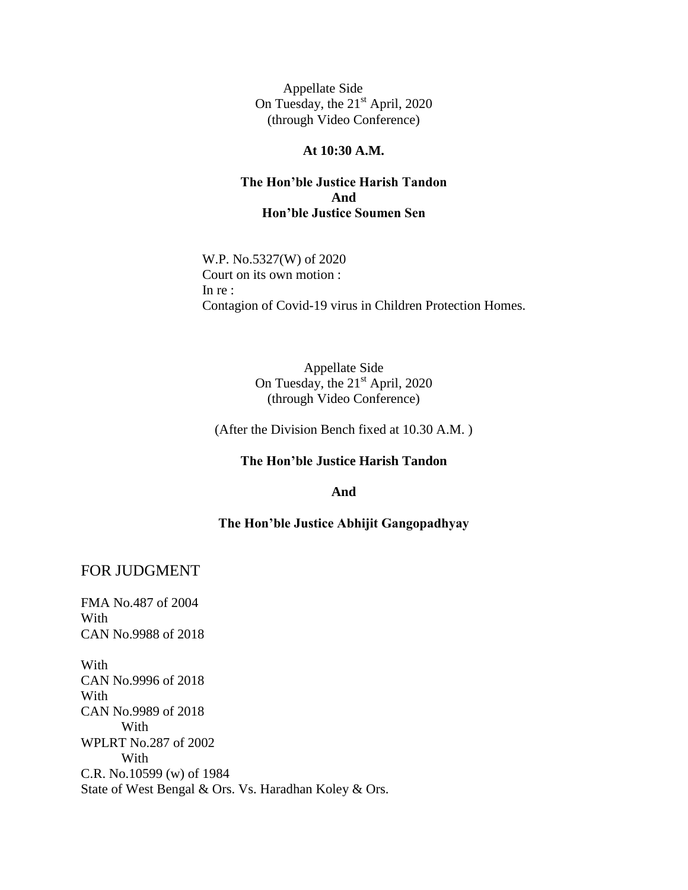### **At 10:30 A.M.**

## **The Hon'ble Justice Harish Tandon And Hon'ble Justice Soumen Sen**

W.P. No.5327(W) of 2020 Court on its own motion : In re : Contagion of Covid-19 virus in Children Protection Homes.

> Appellate Side On Tuesday, the  $21<sup>st</sup>$  April, 2020 (through Video Conference)

(After the Division Bench fixed at 10.30 A.M. )

#### **The Hon'ble Justice Harish Tandon**

**And**

#### **The Hon'ble Justice Abhijit Gangopadhyay**

## FOR JUDGMENT

FMA No.487 of 2004 With CAN No.9988 of 2018

With CAN No.9996 of 2018 With CAN No.9989 of 2018 With WPLRT No.287 of 2002 With C.R. No.10599 (w) of 1984 State of West Bengal & Ors. Vs. Haradhan Koley & Ors.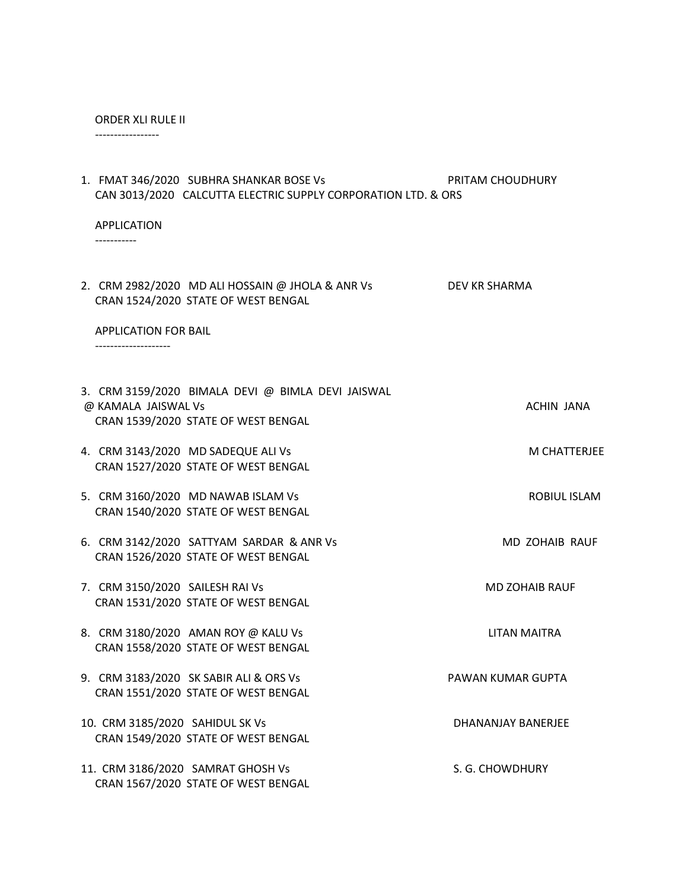#### ORDER XLI RULE II

-----------------

| 1. FMAT 346/2020 SUBHRA SHANKAR BOSE Vs<br>CAN 3013/2020 CALCUTTA ELECTRIC SUPPLY CORPORATION LTD. & ORS        | PRITAM CHOUDHURY      |
|-----------------------------------------------------------------------------------------------------------------|-----------------------|
| <b>APPLICATION</b>                                                                                              |                       |
| 2. CRM 2982/2020 MD ALI HOSSAIN @ JHOLA & ANR Vs<br>CRAN 1524/2020 STATE OF WEST BENGAL                         | DEV KR SHARMA         |
| <b>APPLICATION FOR BAIL</b><br>---------------------                                                            |                       |
| 3. CRM 3159/2020 BIMALA DEVI @ BIMLA DEVI JAISWAL<br>@ KAMALA JAISWAL Vs<br>CRAN 1539/2020 STATE OF WEST BENGAL | ACHIN JANA            |
| 4. CRM 3143/2020 MD SADEQUE ALI Vs<br>CRAN 1527/2020 STATE OF WEST BENGAL                                       | M CHATTERJEE          |
| 5. CRM 3160/2020 MD NAWAB ISLAM Vs<br>CRAN 1540/2020 STATE OF WEST BENGAL                                       | ROBIUL ISLAM          |
| 6. CRM 3142/2020 SATTYAM SARDAR & ANR Vs<br>CRAN 1526/2020 STATE OF WEST BENGAL                                 | MD ZOHAIB RAUF        |
| 7. CRM 3150/2020 SAILESH RAI Vs<br>CRAN 1531/2020 STATE OF WEST BENGAL                                          | <b>MD ZOHAIB RAUF</b> |
| 8. CRM 3180/2020 AMAN ROY @ KALU Vs<br>CRAN 1558/2020 STATE OF WEST BENGAL                                      | LITAN MAITRA          |
| 9. CRM 3183/2020 SK SABIR ALI & ORS Vs<br>CRAN 1551/2020 STATE OF WEST BENGAL                                   | PAWAN KUMAR GUPTA     |
| 10. CRM 3185/2020 SAHIDUL SK Vs                                                                                 | DHANANJAY BANERJEE    |

11. CRM 3186/2020 SAMRAT GHOSH Vs S. G. CHOWDHURY CRAN 1567/2020 STATE OF WEST BENGAL

CRAN 1549/2020 STATE OF WEST BENGAL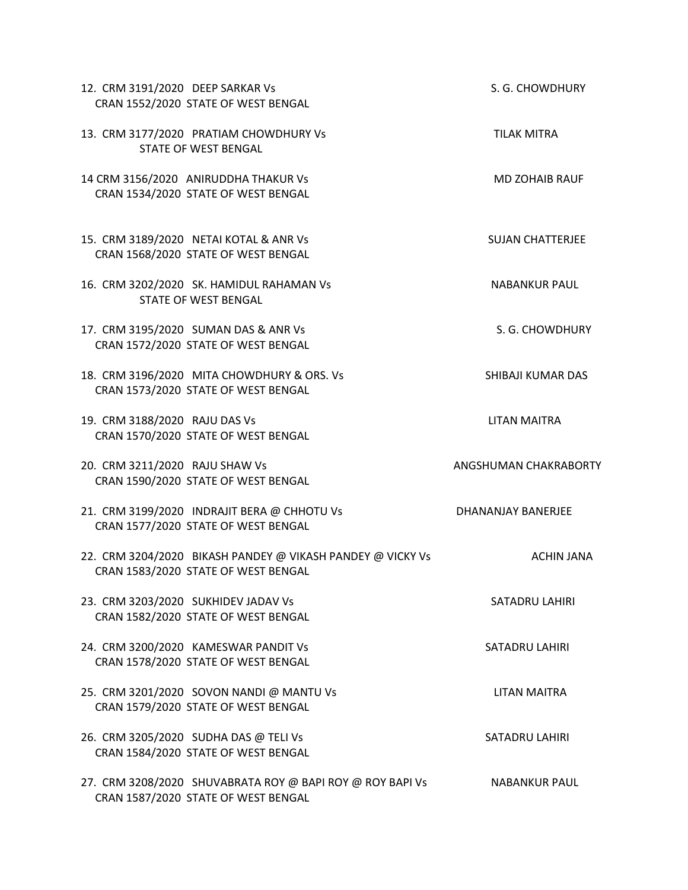| 12. CRM 3191/2020 DEEP SARKAR Vs<br>CRAN 1552/2020 STATE OF WEST BENGAL                           | S. G. CHOWDHURY           |
|---------------------------------------------------------------------------------------------------|---------------------------|
| 13. CRM 3177/2020 PRATIAM CHOWDHURY Vs<br><b>STATE OF WEST BENGAL</b>                             | <b>TILAK MITRA</b>        |
| 14 CRM 3156/2020 ANIRUDDHA THAKUR Vs<br>CRAN 1534/2020 STATE OF WEST BENGAL                       | <b>MD ZOHAIB RAUF</b>     |
| 15. CRM 3189/2020 NETAI KOTAL & ANR Vs<br>CRAN 1568/2020 STATE OF WEST BENGAL                     | <b>SUJAN CHATTERJEE</b>   |
| 16. CRM 3202/2020 SK. HAMIDUL RAHAMAN Vs<br><b>STATE OF WEST BENGAL</b>                           | <b>NABANKUR PAUL</b>      |
| 17. CRM 3195/2020 SUMAN DAS & ANR Vs<br>CRAN 1572/2020 STATE OF WEST BENGAL                       | S. G. CHOWDHURY           |
| 18. CRM 3196/2020 MITA CHOWDHURY & ORS. Vs<br>CRAN 1573/2020 STATE OF WEST BENGAL                 | SHIBAJI KUMAR DAS         |
| 19. CRM 3188/2020 RAJU DAS Vs<br>CRAN 1570/2020 STATE OF WEST BENGAL                              | <b>LITAN MAITRA</b>       |
| 20. CRM 3211/2020 RAJU SHAW Vs<br>CRAN 1590/2020 STATE OF WEST BENGAL                             | ANGSHUMAN CHAKRABORTY     |
| 21. CRM 3199/2020 INDRAJIT BERA @ CHHOTU Vs<br>CRAN 1577/2020 STATE OF WEST BENGAL                | <b>DHANANJAY BANERJEE</b> |
| 22. CRM 3204/2020 BIKASH PANDEY @ VIKASH PANDEY @ VICKY Vs<br>CRAN 1583/2020 STATE OF WEST BENGAL | ACHIN JANA                |
| 23. CRM 3203/2020 SUKHIDEV JADAV Vs<br>CRAN 1582/2020 STATE OF WEST BENGAL                        | <b>SATADRU LAHIRI</b>     |
| 24. CRM 3200/2020 KAMESWAR PANDIT Vs<br>CRAN 1578/2020 STATE OF WEST BENGAL                       | <b>SATADRU LAHIRI</b>     |
| 25. CRM 3201/2020 SOVON NANDI @ MANTU Vs<br>CRAN 1579/2020 STATE OF WEST BENGAL                   | LITAN MAITRA              |
| 26. CRM 3205/2020 SUDHA DAS @ TELI Vs<br>CRAN 1584/2020 STATE OF WEST BENGAL                      | <b>SATADRU LAHIRI</b>     |
| 27. CRM 3208/2020 SHUVABRATA ROY @ BAPI ROY @ ROY BAPI Vs<br>CRAN 1587/2020 STATE OF WEST BENGAL  | <b>NABANKUR PAUL</b>      |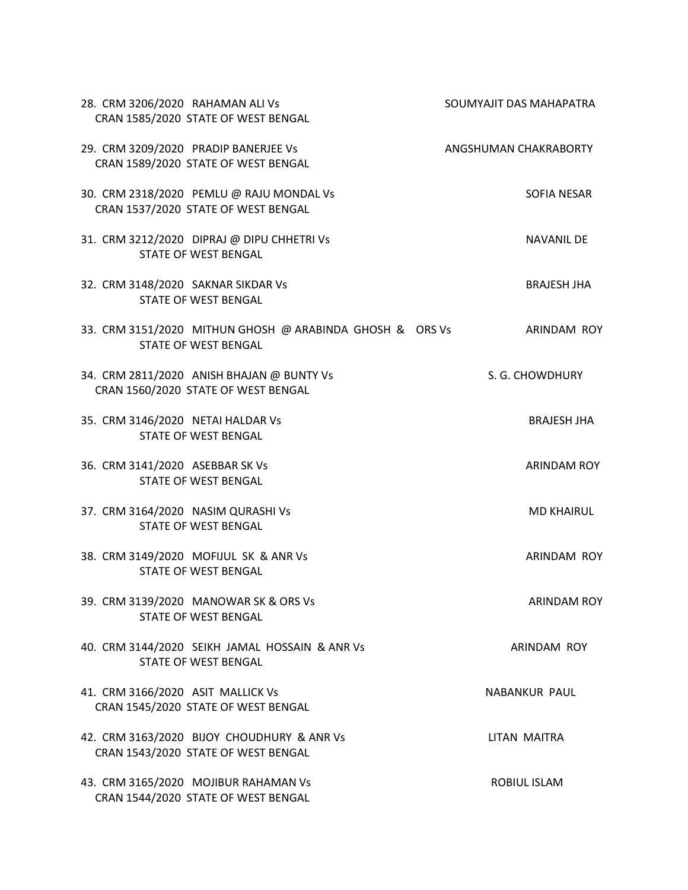| 28. CRM 3206/2020 RAHAMAN ALI Vs<br>CRAN 1585/2020 STATE OF WEST BENGAL                 | SOUMYAJIT DAS MAHAPATRA |
|-----------------------------------------------------------------------------------------|-------------------------|
| 29. CRM 3209/2020 PRADIP BANERJEE Vs<br>CRAN 1589/2020 STATE OF WEST BENGAL             | ANGSHUMAN CHAKRABORTY   |
| 30. CRM 2318/2020 PEMLU @ RAJU MONDAL Vs<br>CRAN 1537/2020 STATE OF WEST BENGAL         | SOFIA NESAR             |
| 31. CRM 3212/2020 DIPRAJ @ DIPU CHHETRI Vs<br><b>STATE OF WEST BENGAL</b>               | <b>NAVANIL DE</b>       |
| 32. CRM 3148/2020 SAKNAR SIKDAR Vs<br><b>STATE OF WEST BENGAL</b>                       | <b>BRAJESH JHA</b>      |
| 33. CRM 3151/2020 MITHUN GHOSH @ ARABINDA GHOSH & ORS Vs<br><b>STATE OF WEST BENGAL</b> | ARINDAM ROY             |
| 34. CRM 2811/2020 ANISH BHAJAN @ BUNTY Vs<br>CRAN 1560/2020 STATE OF WEST BENGAL        | S. G. CHOWDHURY         |
| 35. CRM 3146/2020 NETAI HALDAR Vs<br><b>STATE OF WEST BENGAL</b>                        | <b>BRAJESH JHA</b>      |
| 36. CRM 3141/2020 ASEBBAR SK Vs<br><b>STATE OF WEST BENGAL</b>                          | <b>ARINDAM ROY</b>      |
| 37. CRM 3164/2020 NASIM QURASHI Vs<br><b>STATE OF WEST BENGAL</b>                       | <b>MD KHAIRUL</b>       |
| 38. CRM 3149/2020 MOFIJUL SK & ANR Vs<br><b>STATE OF WEST BENGAL</b>                    | <b>ARINDAM ROY</b>      |
| 39. CRM 3139/2020 MANOWAR SK & ORS Vs<br><b>STATE OF WEST BENGAL</b>                    | <b>ARINDAM ROY</b>      |
| 40. CRM 3144/2020 SEIKH JAMAL HOSSAIN & ANR Vs<br><b>STATE OF WEST BENGAL</b>           | ARINDAM ROY             |
| 41. CRM 3166/2020 ASIT MALLICK Vs<br>CRAN 1545/2020 STATE OF WEST BENGAL                | <b>NABANKUR PAUL</b>    |
| 42. CRM 3163/2020 BIJOY CHOUDHURY & ANR Vs<br>CRAN 1543/2020 STATE OF WEST BENGAL       | <b>LITAN MAITRA</b>     |
| 43. CRM 3165/2020 MOJIBUR RAHAMAN Vs<br>CRAN 1544/2020 STATE OF WEST BENGAL             | ROBIUL ISLAM            |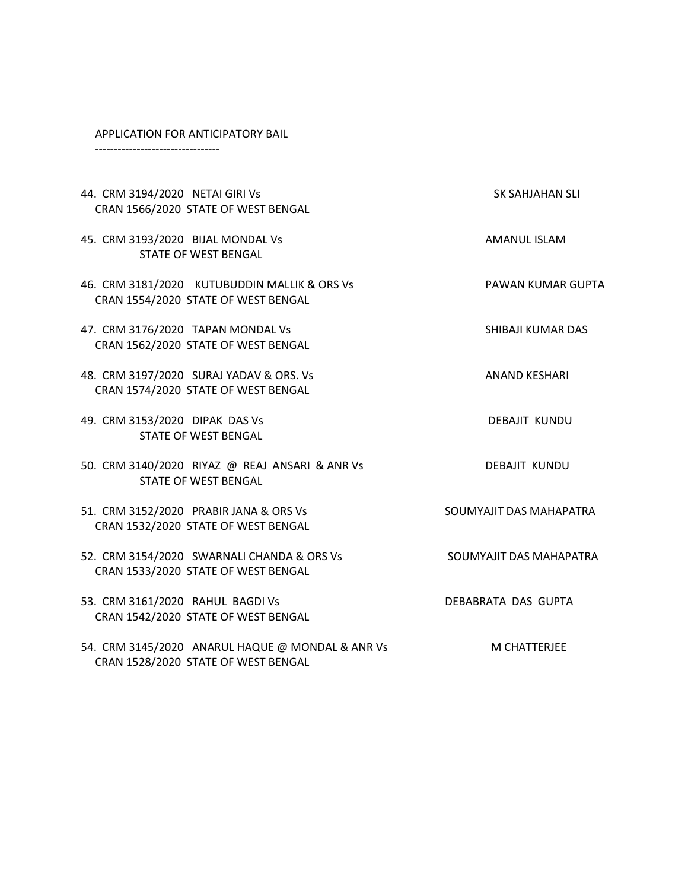#### APPLICATION FOR ANTICIPATORY BAIL

---------------------------------

| 44. CRM 3194/2020 NETAI GIRI Vs<br>CRAN 1566/2020 STATE OF WEST BENGAL                  | SK SAHJAHAN SLI          |
|-----------------------------------------------------------------------------------------|--------------------------|
| 45. CRM 3193/2020 BIJAL MONDAL Vs<br><b>STATE OF WEST BENGAL</b>                        | AMANUL ISLAM             |
| 46. CRM 3181/2020 KUTUBUDDIN MALLIK & ORS Vs<br>CRAN 1554/2020 STATE OF WEST BENGAL     | <b>PAWAN KUMAR GUPTA</b> |
| 47. CRM 3176/2020 TAPAN MONDAL Vs<br>CRAN 1562/2020 STATE OF WEST BENGAL                | SHIBAJI KUMAR DAS        |
| 48. CRM 3197/2020 SURAJ YADAV & ORS. Vs<br>CRAN 1574/2020 STATE OF WEST BENGAL          | <b>ANAND KESHARI</b>     |
| 49. CRM 3153/2020 DIPAK DAS Vs<br><b>STATE OF WEST BENGAL</b>                           | DEBAJIT KUNDU            |
| 50. CRM 3140/2020 RIYAZ @ REAJ ANSARI & ANR Vs<br><b>STATE OF WEST BENGAL</b>           | <b>DEBAJIT KUNDU</b>     |
| 51. CRM 3152/2020 PRABIR JANA & ORS Vs<br>CRAN 1532/2020 STATE OF WEST BENGAL           | SOUMYAJIT DAS MAHAPATRA  |
| 52. CRM 3154/2020 SWARNALI CHANDA & ORS Vs<br>CRAN 1533/2020 STATE OF WEST BENGAL       | SOUMYAJIT DAS MAHAPATRA  |
| 53. CRM 3161/2020 RAHUL BAGDI Vs<br>CRAN 1542/2020 STATE OF WEST BENGAL                 | DEBABRATA DAS GUPTA      |
| 54. CRM 3145/2020 ANARUL HAQUE @ MONDAL & ANR Vs<br>CRAN 1528/2020 STATE OF WEST BENGAL | <b>M CHATTERJEE</b>      |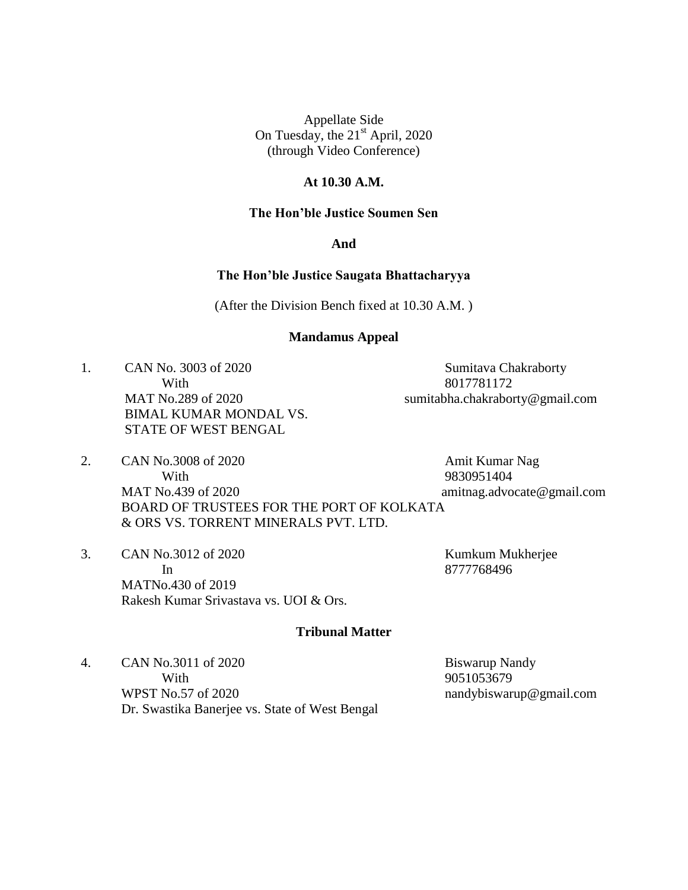#### **At 10.30 A.M.**

### **The Hon'ble Justice Soumen Sen**

#### **And**

#### **The Hon'ble Justice Saugata Bhattacharyya**

(After the Division Bench fixed at 10.30 A.M. )

#### **Mandamus Appeal**

1. CAN No. 3003 of 2020 Sumitava Chakraborty With 8017781172 BIMAL KUMAR MONDAL VS. STATE OF WEST BENGAL

MAT No.289 of 2020 sumitabha.chakraborty@gmail.com

- 2. CAN No.3008 of 2020 Amit Kumar Nag With 9830951404 MAT No.439 of 2020 amitnag.advocate@gmail.com BOARD OF TRUSTEES FOR THE PORT OF KOLKATA & ORS VS. TORRENT MINERALS PVT. LTD.
- 3. CAN No.3012 of 2020 Kumkum Mukherjee In 8777768496 MATNo.430 of 2019 Rakesh Kumar Srivastava vs. UOI & Ors.

#### **Tribunal Matter**

4. CAN No.3011 of 2020 Biswarup Nandy With 9051053679 WPST No.57 of 2020 nandybiswarup@gmail.com Dr. Swastika Banerjee vs. State of West Bengal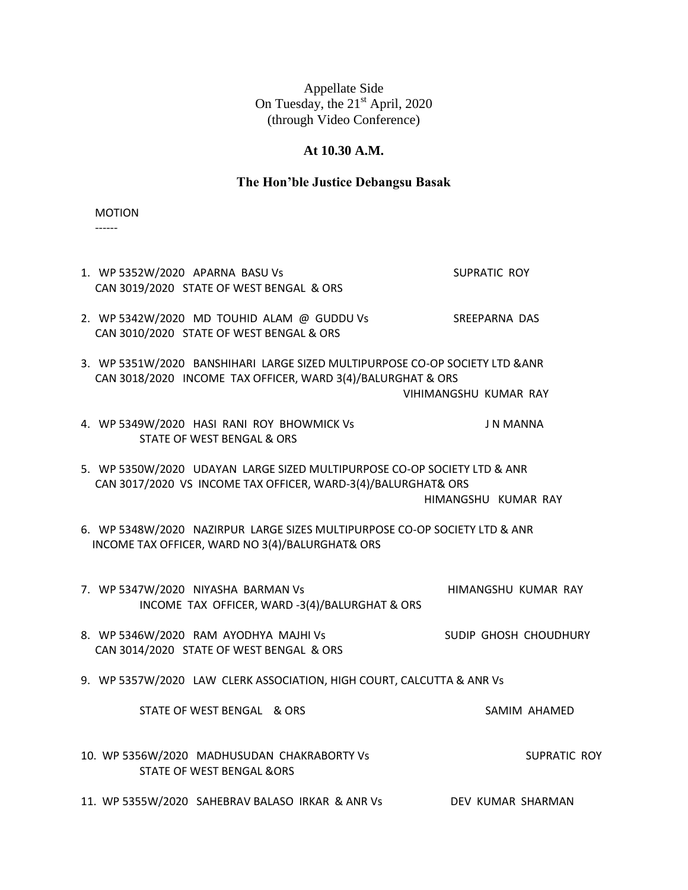# **At 10.30 A.M.**

# **The Hon'ble Justice Debangsu Basak**

MOTION

------

| 1. WP 5352W/2020 APARNA BASU Vs<br>CAN 3019/2020 STATE OF WEST BENGAL & ORS                                                                 | <b>SUPRATIC ROY</b>   |
|---------------------------------------------------------------------------------------------------------------------------------------------|-----------------------|
| 2. WP 5342W/2020 MD TOUHID ALAM @ GUDDU Vs<br>CAN 3010/2020 STATE OF WEST BENGAL & ORS                                                      | SREEPARNA DAS         |
| 3. WP 5351W/2020 BANSHIHARI LARGE SIZED MULTIPURPOSE CO-OP SOCIETY LTD & ANR<br>CAN 3018/2020 INCOME TAX OFFICER, WARD 3(4)/BALURGHAT & ORS | VIHIMANGSHU KUMAR RAY |
| 4. WP 5349W/2020 HASI RANI ROY BHOWMICK Vs<br><b>STATE OF WEST BENGAL &amp; ORS</b>                                                         | J N MANNA             |
| 5. WP 5350W/2020 UDAYAN LARGE SIZED MULTIPURPOSE CO-OP SOCIETY LTD & ANR<br>CAN 3017/2020 VS INCOME TAX OFFICER, WARD-3(4)/BALURGHAT& ORS   | HIMANGSHU KUMAR RAY   |
| 6. WP 5348W/2020 NAZIRPUR LARGE SIZES MULTIPURPOSE CO-OP SOCIETY LTD & ANR<br>INCOME TAX OFFICER, WARD NO 3(4)/BALURGHAT& ORS               |                       |
| 7. WP 5347W/2020 NIYASHA BARMAN Vs<br>INCOME TAX OFFICER, WARD -3(4)/BALURGHAT & ORS                                                        | HIMANGSHU KUMAR RAY   |
| 8. WP 5346W/2020 RAM AYODHYA MAJHI Vs<br>CAN 3014/2020 STATE OF WEST BENGAL & ORS                                                           | SUDIP GHOSH CHOUDHURY |
| 9. WP 5357W/2020 LAW CLERK ASSOCIATION, HIGH COURT, CALCUTTA & ANR Vs                                                                       |                       |
| STATE OF WEST BENGAL & ORS                                                                                                                  | SAMIM AHAMED          |
| 10. WP 5356W/2020 MADHUSUDAN CHAKRABORTY Vs<br><b>STATE OF WEST BENGAL &amp;ORS</b>                                                         | <b>SUPRATIC ROY</b>   |
| 11. WP 5355W/2020 SAHEBRAV BALASO IRKAR & ANR Vs                                                                                            | DEV KUMAR SHARMAN     |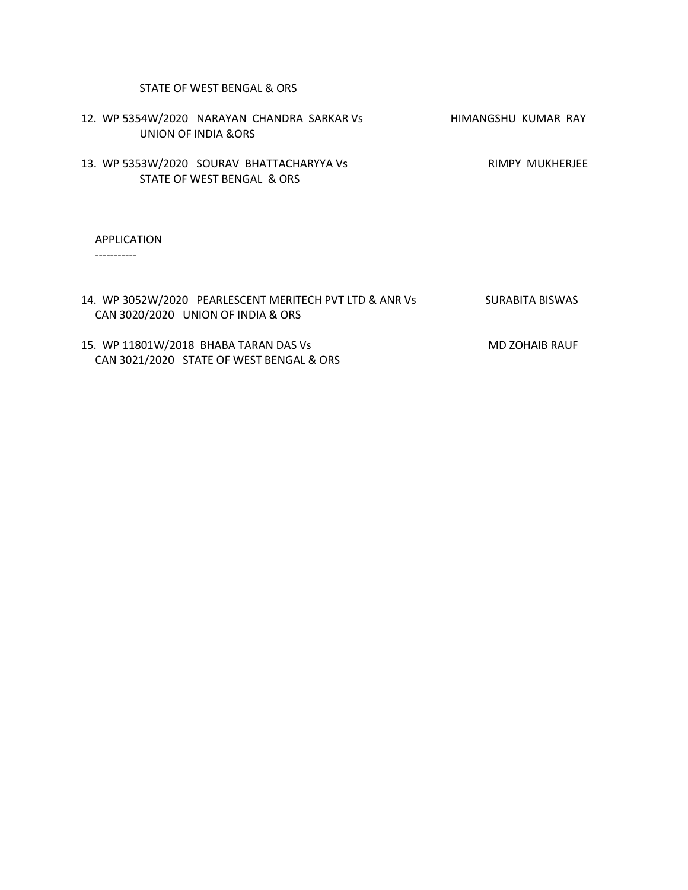# STATE OF WEST BENGAL & ORS

| 12. WP 5354W/2020 NARAYAN CHANDRA SARKAR Vs<br>UNION OF INDIA & ORS     | HIMANGSHU KUMAR RAY |
|-------------------------------------------------------------------------|---------------------|
| 13. WP 5353W/2020 SOURAV BHATTACHARYYA Vs<br>STATE OF WEST BENGAL & ORS | RIMPY MUKHERJEE     |
| <b>APPLICATION</b>                                                      |                     |

-----------

| 14. WP 3052W/2020 PEARLESCENT MERITECH PVT LTD & ANR Vs | SURABITA BISWAS       |
|---------------------------------------------------------|-----------------------|
| CAN 3020/2020 UNION OF INDIA & ORS                      |                       |
|                                                         |                       |
| 15. WP 11801W/2018 BHABA TARAN DAS Vs                   | <b>MD ZOHAIB RAUF</b> |
| CAN 3021/2020 STATE OF WEST BENGAL & ORS                |                       |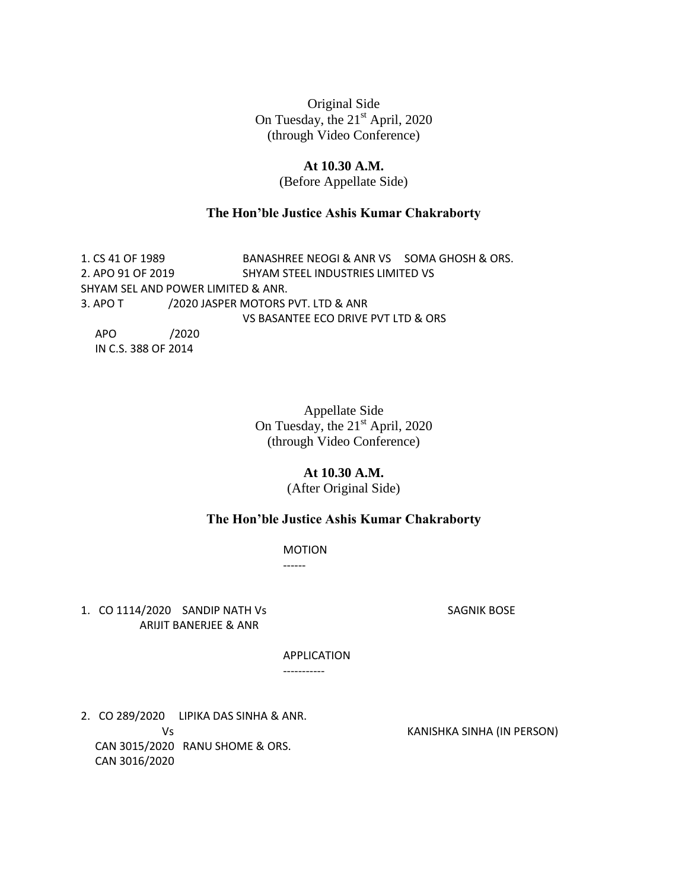### **At 10.30 A.M.**

(Before Appellate Side)

### **The Hon'ble Justice Ashis Kumar Chakraborty**

1. CS 41 OF 1989 BANASHREE NEOGI & ANR VS SOMA GHOSH & ORS. 2. APO 91 OF 2019 SHYAM STEEL INDUSTRIES LIMITED VS SHYAM SEL AND POWER LIMITED & ANR. 3. APO T /2020 JASPER MOTORS PVT. LTD & ANR VS BASANTEE ECO DRIVE PVT LTD & ORS APO /2020 IN C.S. 388 OF 2014

> Appellate Side On Tuesday, the 21<sup>st</sup> April, 2020 (through Video Conference)

#### **At 10.30 A.M.**

(After Original Side)

### **The Hon'ble Justice Ashis Kumar Chakraborty**

MOTION

------

1. CO 1114/2020 SANDIP NATH Vs SAGNIK BOSE ARIJIT BANERJEE & ANR

APPLICATION

-----------

2. CO 289/2020 LIPIKA DAS SINHA & ANR. CAN 3015/2020 RANU SHOME & ORS. CAN 3016/2020

Vs KANISHKA SINHA (IN PERSON)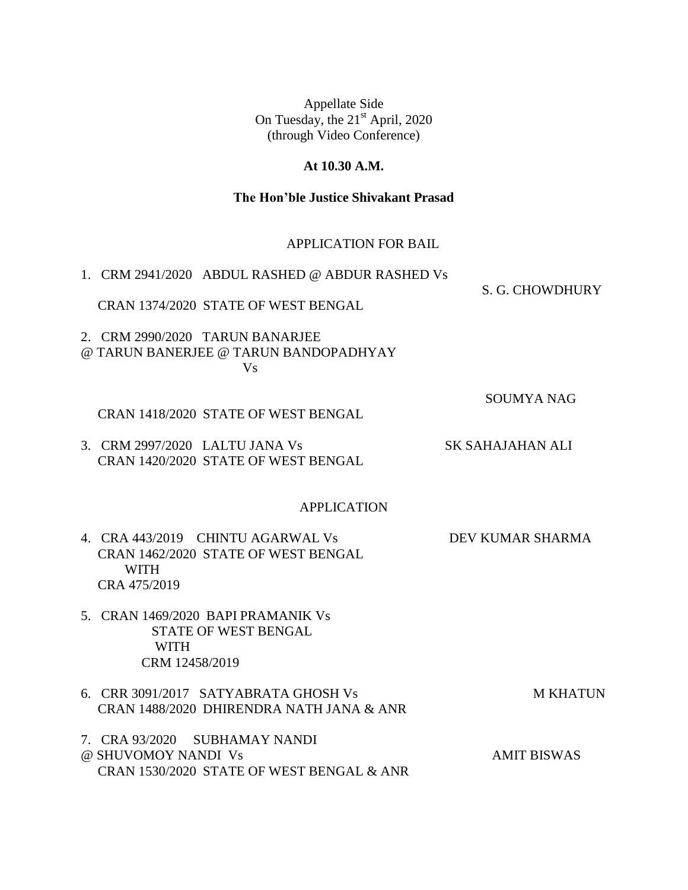# **At 10.30 A.M.**

# **The Hon'ble Justice Shivakant Prasad**

# APPLICATION FOR BAIL

| 1. CRM 2941/2020 ABDUL RASHED @ ABDUR RASHED Vs                                                         |                         |
|---------------------------------------------------------------------------------------------------------|-------------------------|
| CRAN 1374/2020 STATE OF WEST BENGAL                                                                     | S. G. CHOWDHURY         |
| 2. CRM 2990/2020 TARUN BANARJEE<br>@ TARUN BANERJEE @ TARUN BANDOPADHYAY<br><b>Vs</b>                   |                         |
| CRAN 1418/2020 STATE OF WEST BENGAL                                                                     | <b>SOUMYA NAG</b>       |
| 3. CRM 2997/2020 LALTU JANA Vs<br>CRAN 1420/2020 STATE OF WEST BENGAL                                   | <b>SK SAHAJAHAN ALI</b> |
| <b>APPLICATION</b>                                                                                      |                         |
| 4. CRA 443/2019 CHINTU AGARWAL Vs<br>CRAN 1462/2020 STATE OF WEST BENGAL<br><b>WITH</b><br>CRA 475/2019 | <b>DEV KUMAR SHARMA</b> |
| 5. CRAN 1469/2020 BAPI PRAMANIK Vs<br><b>STATE OF WEST BENGAL</b><br><b>WITH</b><br>CRM 12458/2019      |                         |
| 6. CRR 3091/2017 SATYABRATA GHOSH Vs<br>CRAN 1488/2020 DHIRENDRA NATH JANA & ANR                        | <b>M KHATUN</b>         |
| 7. CRA 93/2020 SUBHAMAY NANDI<br>@ SHUVOMOY NANDI Vs<br>CRAN 1530/2020 STATE OF WEST BENGAL & ANR       | <b>AMIT BISWAS</b>      |